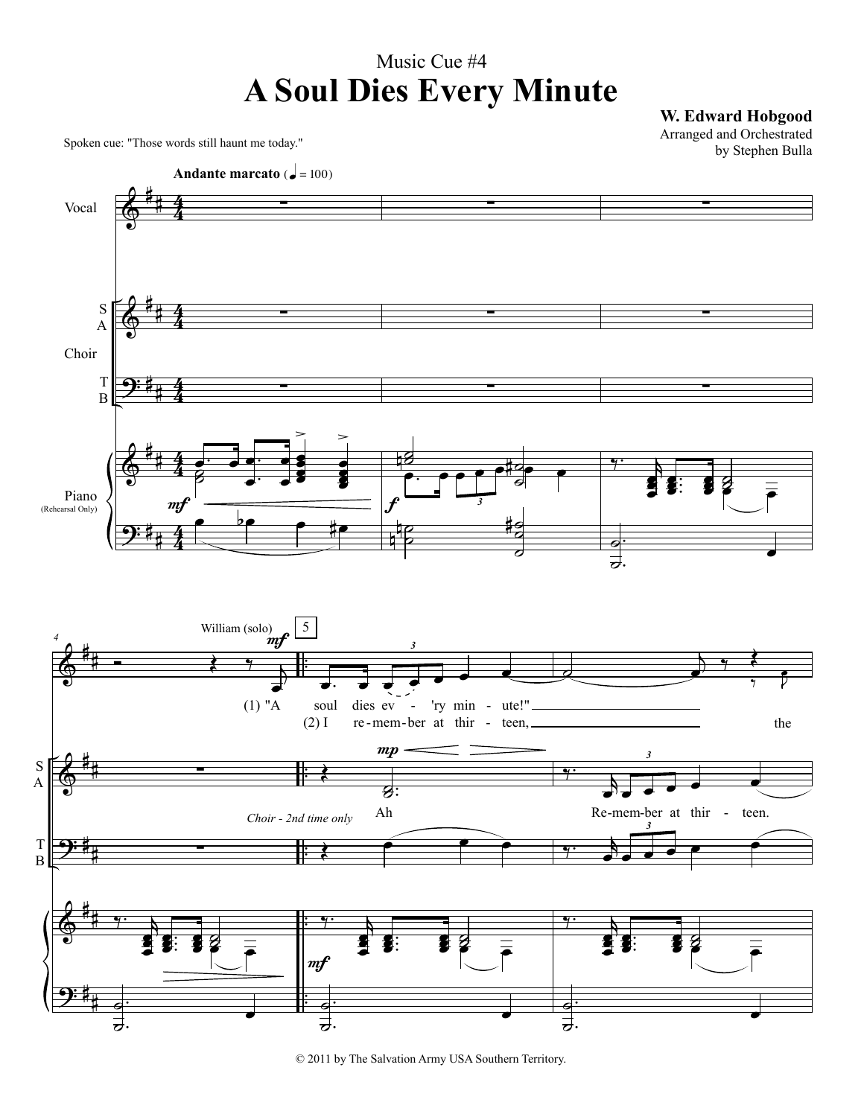## Music Cue #4 **A Soul Dies Every Minute**

**W. Edward Hobgood**

Spoken cue: "Those words still haunt me today."

9:

A

# #

. .  $\blacksquare$  $\overline{\mathbf{z}}$ 





œ

. .  $\blacksquare$ ˙

 $\overline{\phantom{0}}$ 

. .

. .  $\blacksquare$ ˙

 $\overline{\phantom{0}}$ 

<sup>© 2011</sup> by The Salvation Army USA Southern Territory.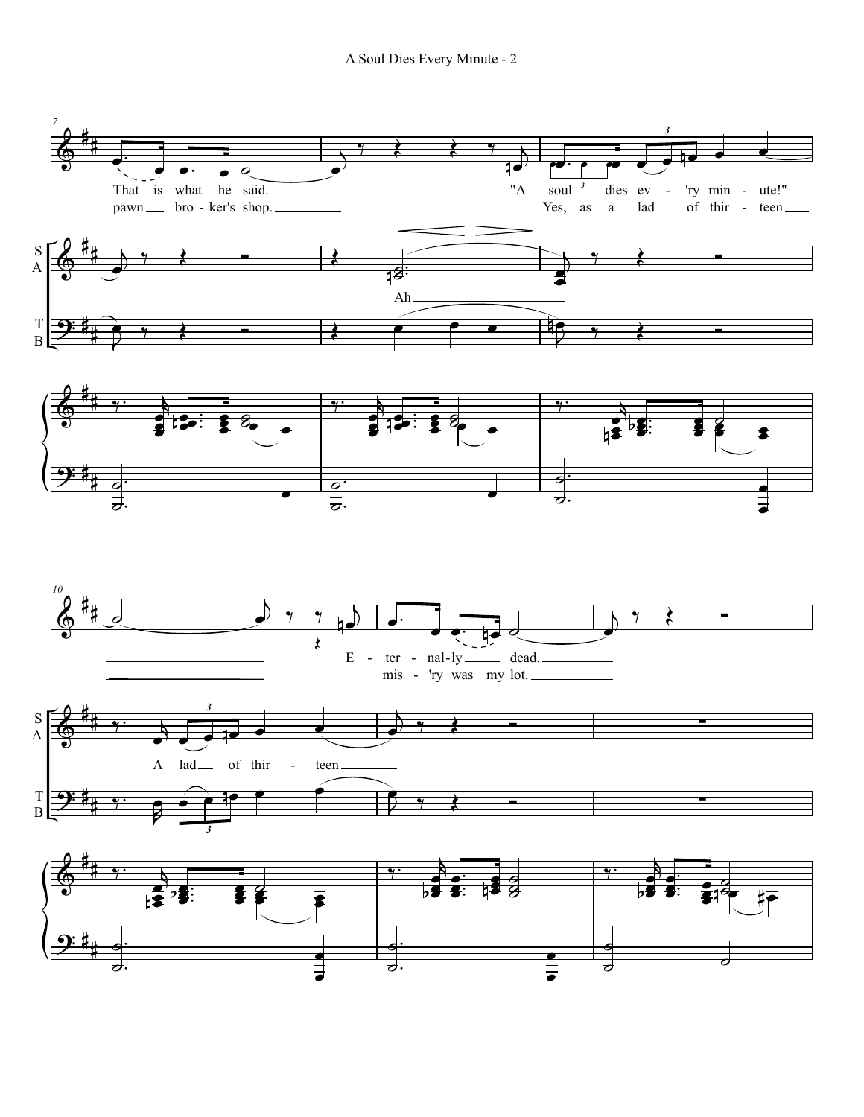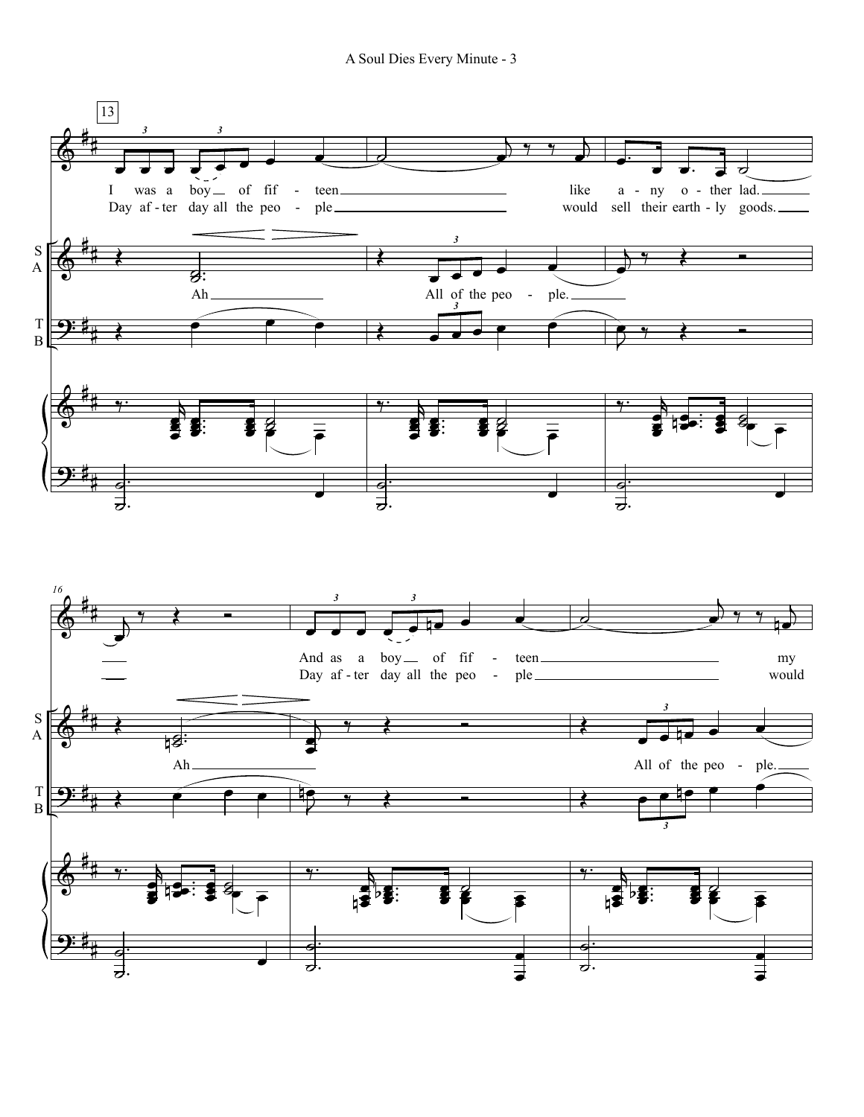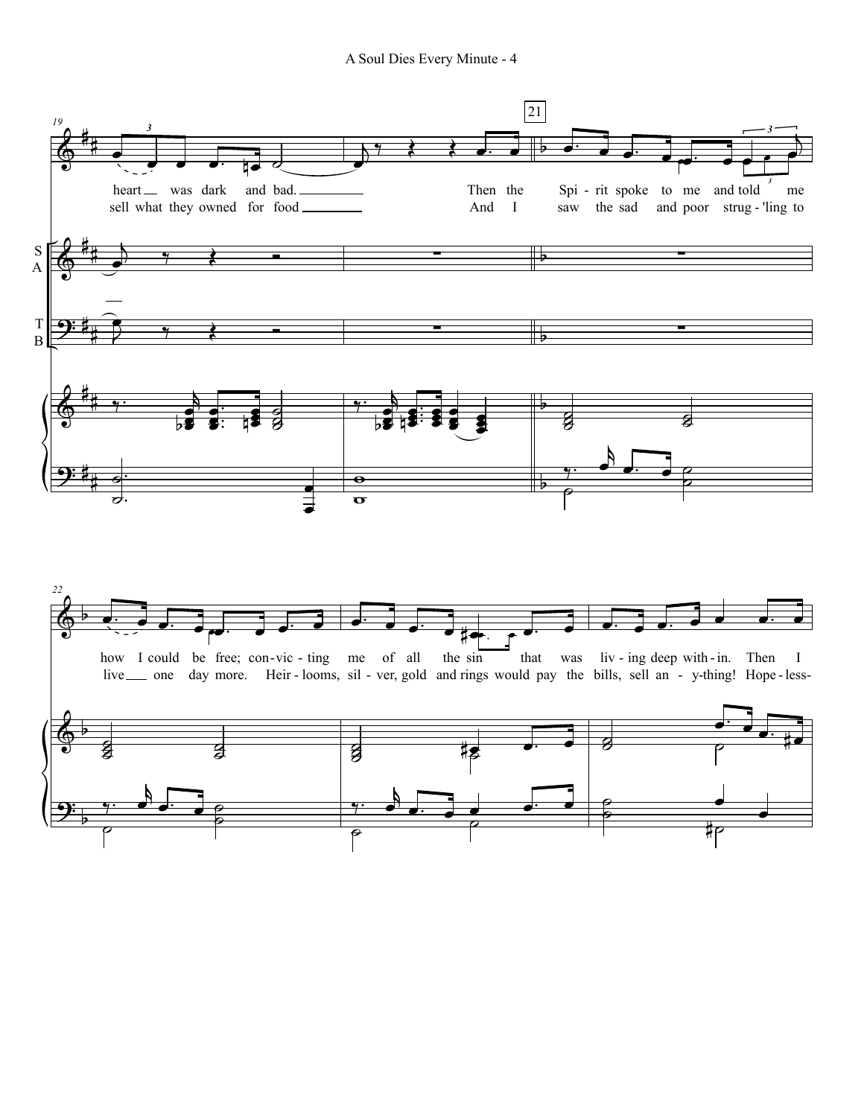A Soul Dies Every Minute - 4

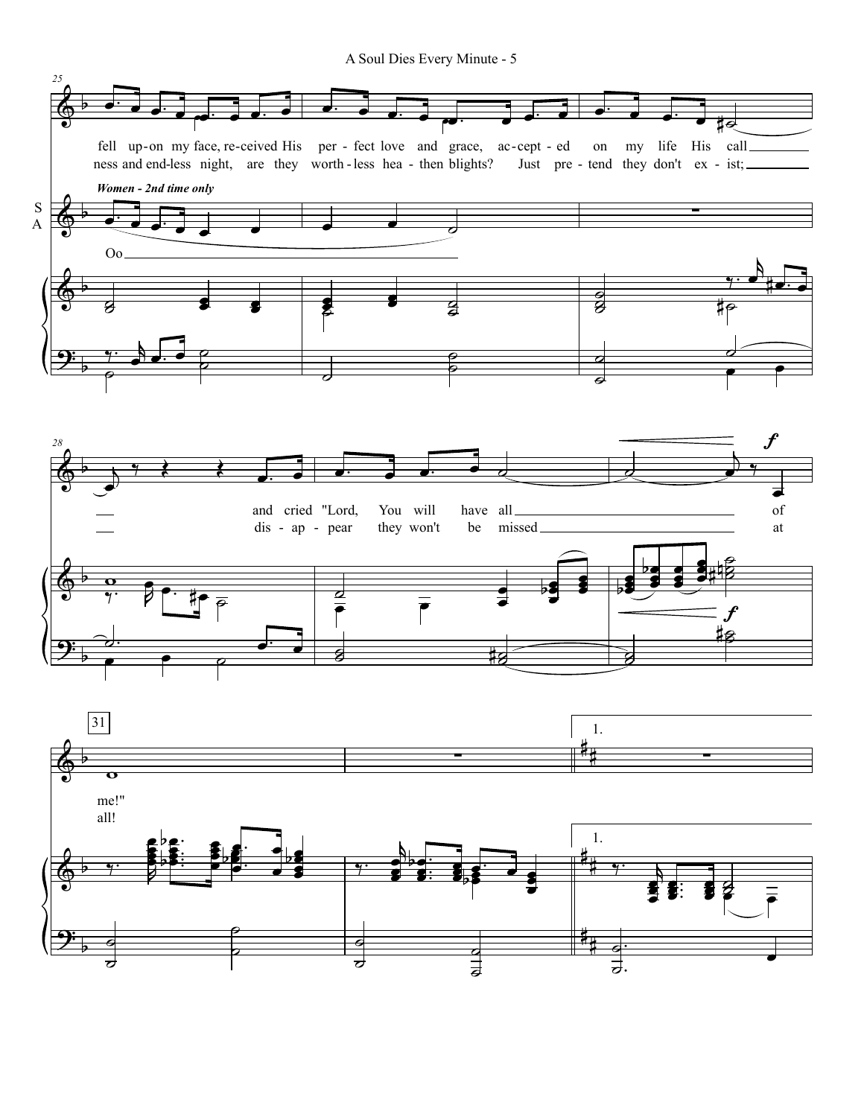A Soul Dies Every Minute - 5

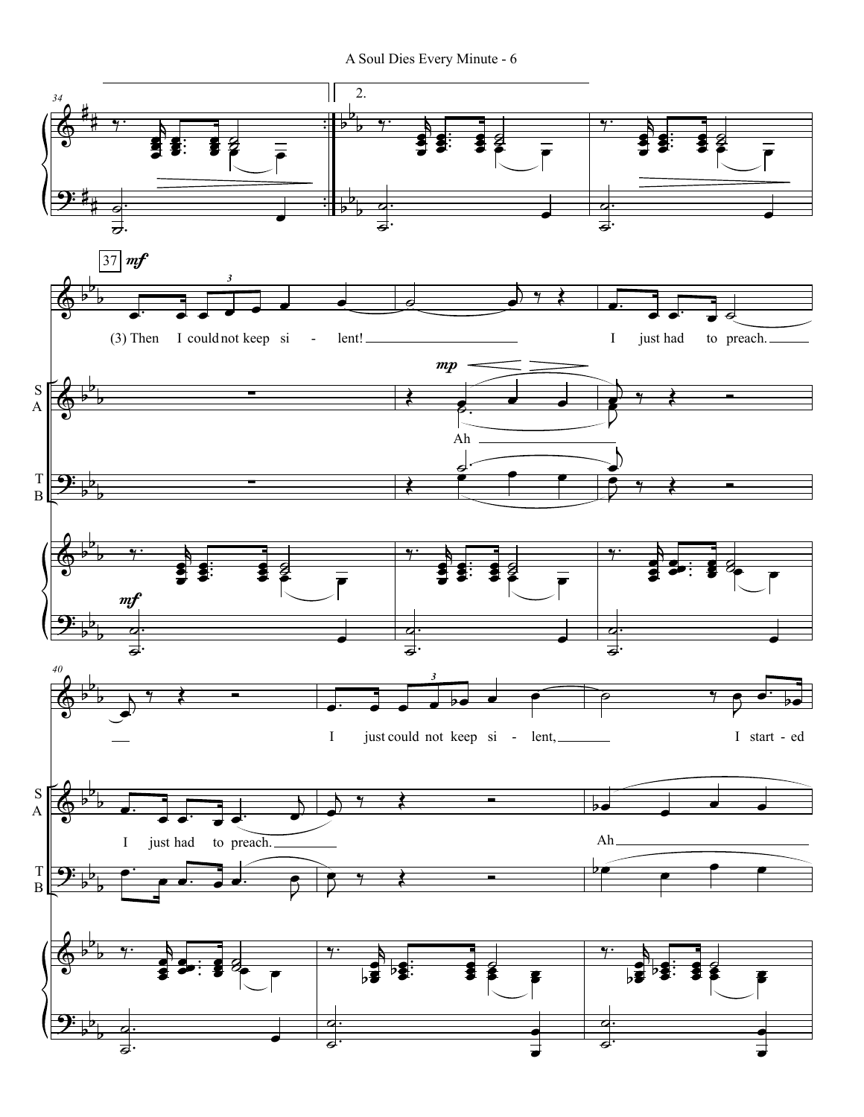A Soul Dies Every Minute - 6

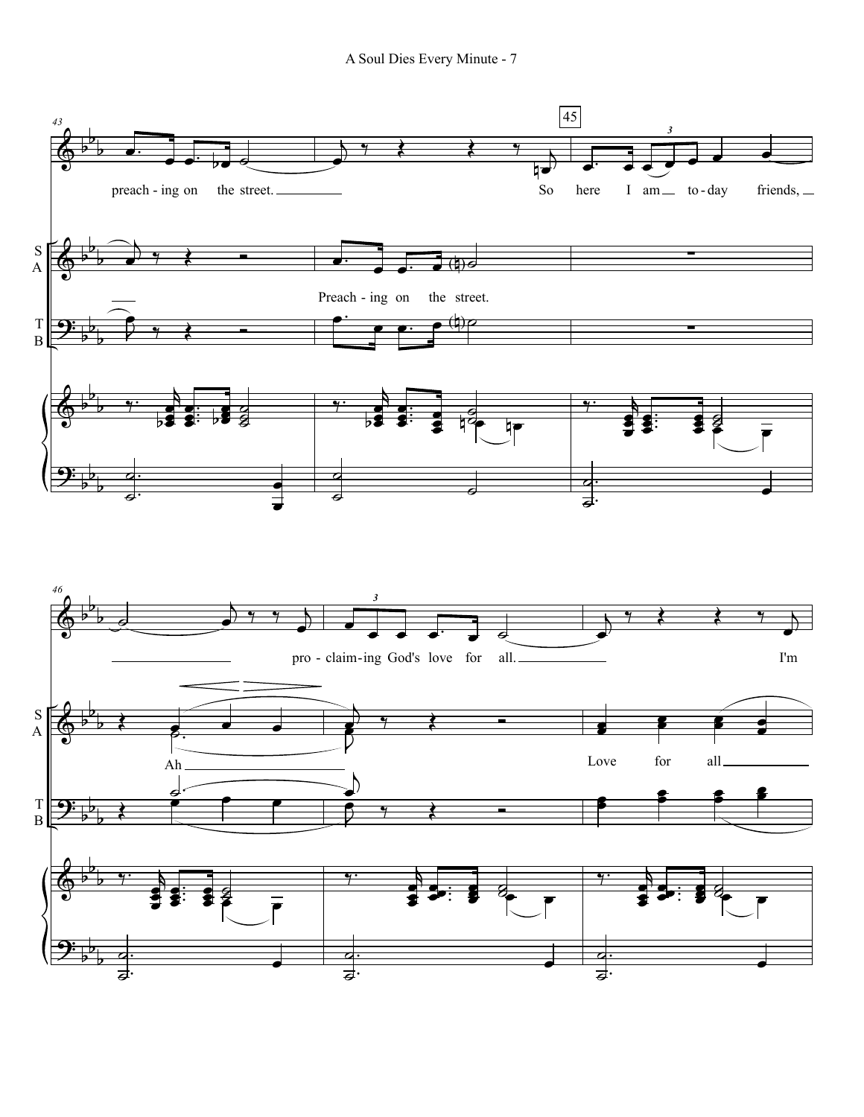A Soul Dies Every Minute - 7

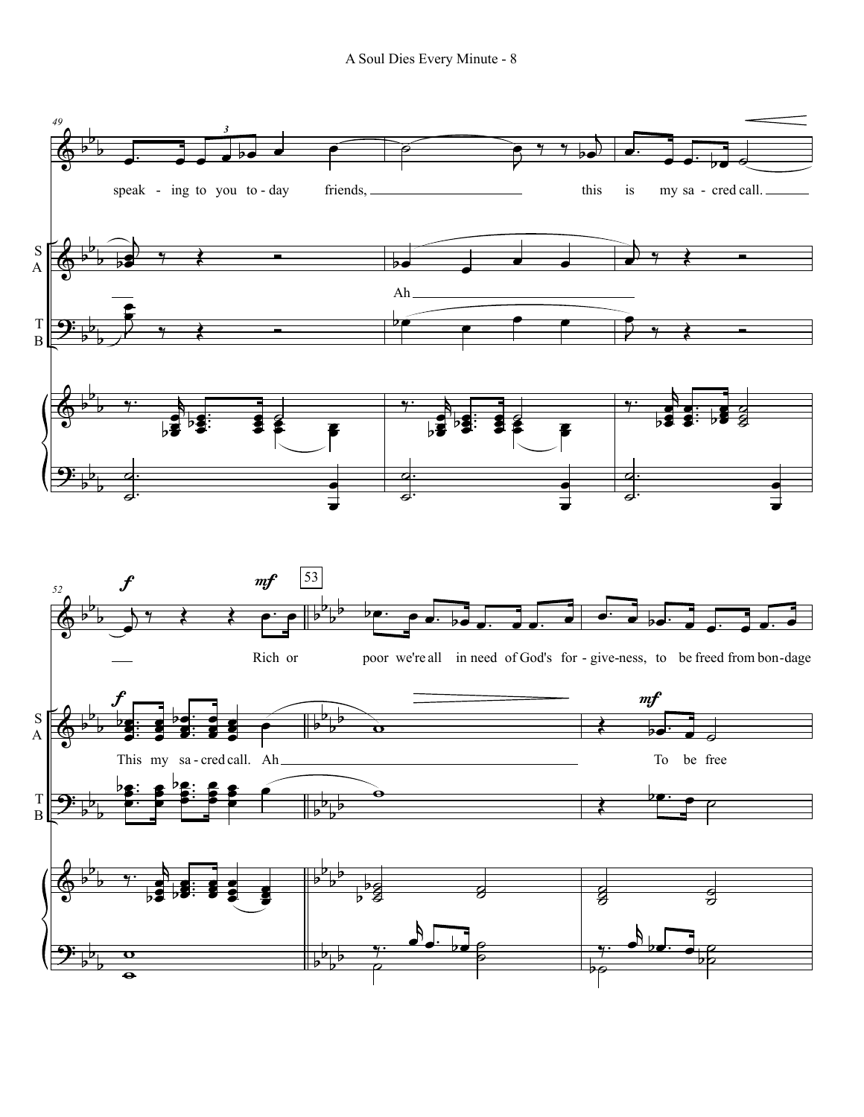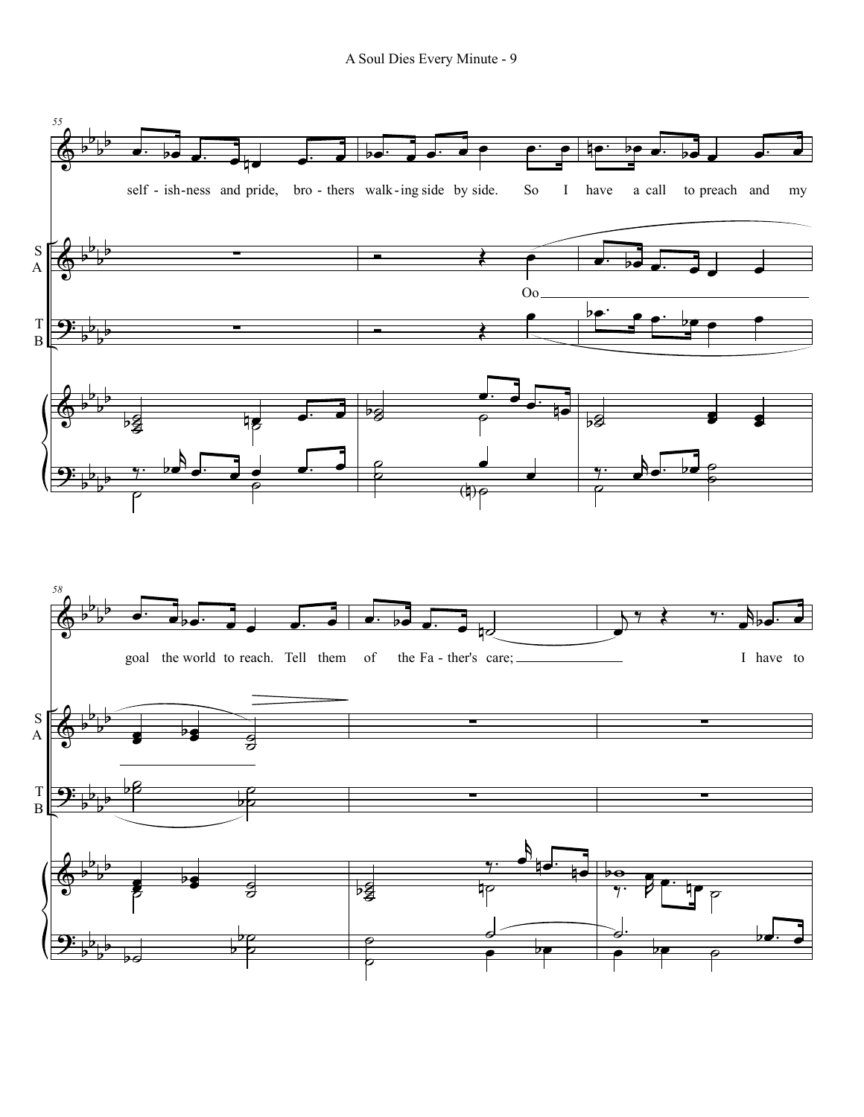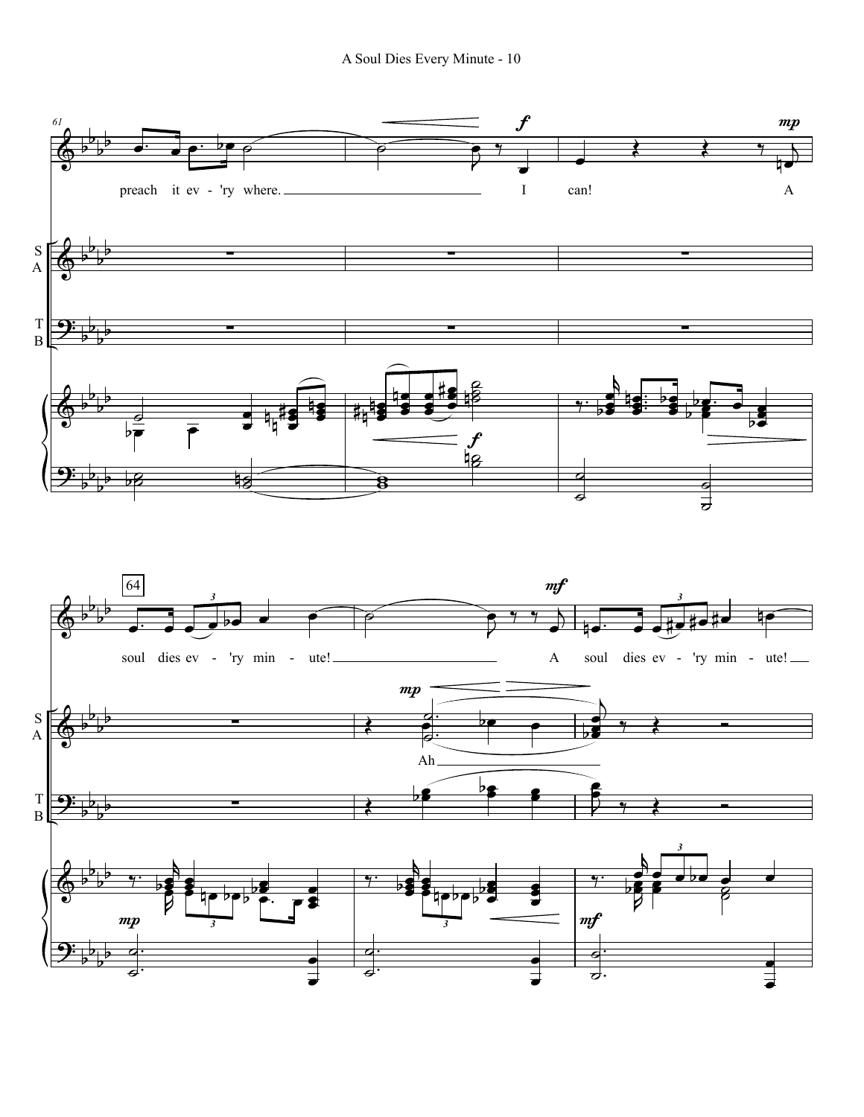